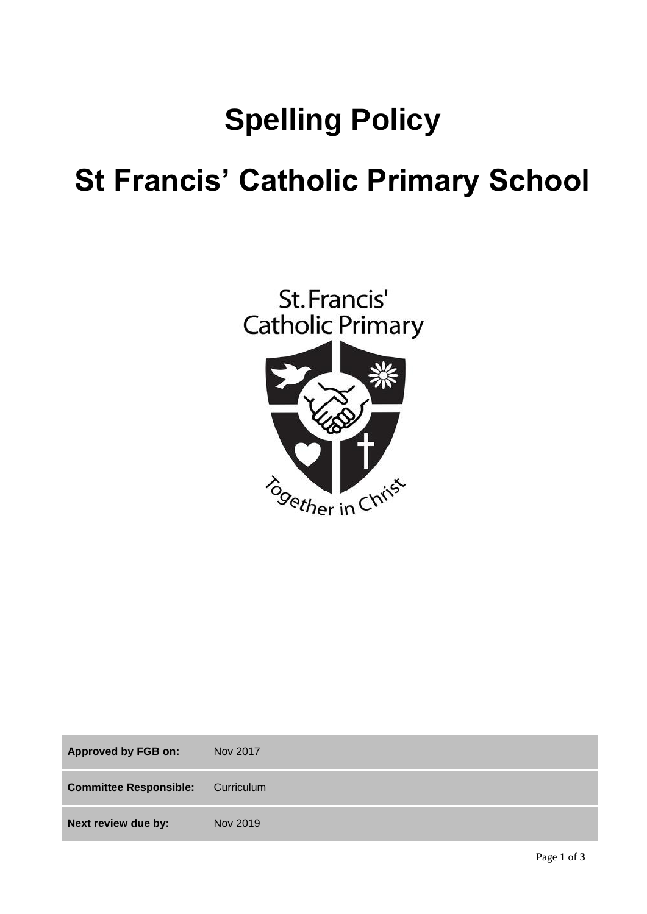# **Spelling Policy**

## **St Francis' Catholic Primary School**



| <b>Approved by FGB on:</b>    | Nov 2017   |
|-------------------------------|------------|
| <b>Committee Responsible:</b> | Curriculum |
| Next review due by:           | Nov 2019   |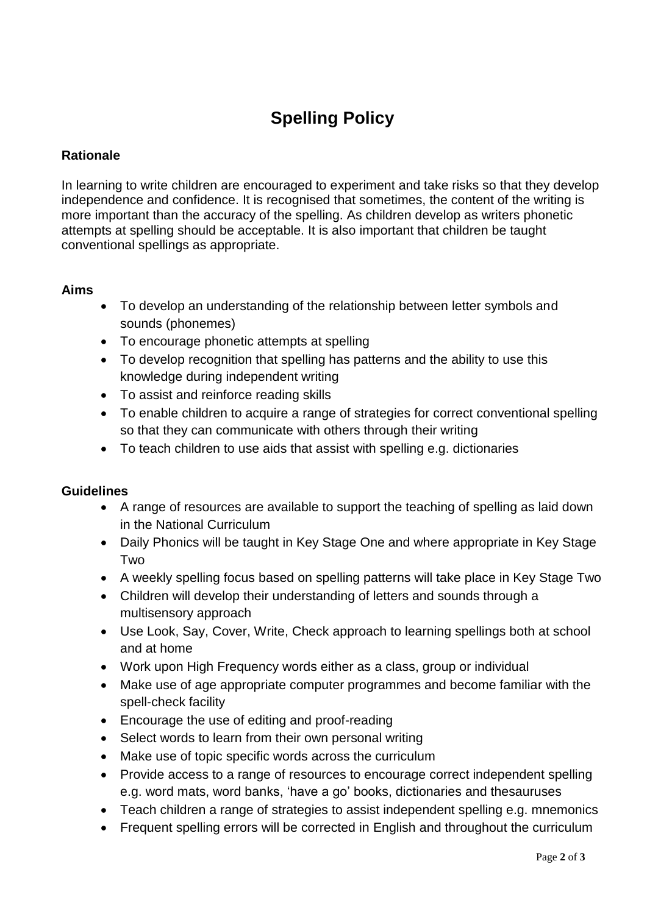### **Spelling Policy**

#### **Rationale**

In learning to write children are encouraged to experiment and take risks so that they develop independence and confidence. It is recognised that sometimes, the content of the writing is more important than the accuracy of the spelling. As children develop as writers phonetic attempts at spelling should be acceptable. It is also important that children be taught conventional spellings as appropriate.

#### **Aims**

- To develop an understanding of the relationship between letter symbols and sounds (phonemes)
- To encourage phonetic attempts at spelling
- To develop recognition that spelling has patterns and the ability to use this knowledge during independent writing
- To assist and reinforce reading skills
- To enable children to acquire a range of strategies for correct conventional spelling so that they can communicate with others through their writing
- To teach children to use aids that assist with spelling e.g. dictionaries

#### **Guidelines**

- A range of resources are available to support the teaching of spelling as laid down in the National Curriculum
- Daily Phonics will be taught in Key Stage One and where appropriate in Key Stage Two
- A weekly spelling focus based on spelling patterns will take place in Key Stage Two
- Children will develop their understanding of letters and sounds through a multisensory approach
- Use Look, Say, Cover, Write, Check approach to learning spellings both at school and at home
- Work upon High Frequency words either as a class, group or individual
- Make use of age appropriate computer programmes and become familiar with the spell-check facility
- Encourage the use of editing and proof-reading
- Select words to learn from their own personal writing
- Make use of topic specific words across the curriculum
- Provide access to a range of resources to encourage correct independent spelling e.g. word mats, word banks, 'have a go' books, dictionaries and thesauruses
- Teach children a range of strategies to assist independent spelling e.g. mnemonics
- Frequent spelling errors will be corrected in English and throughout the curriculum